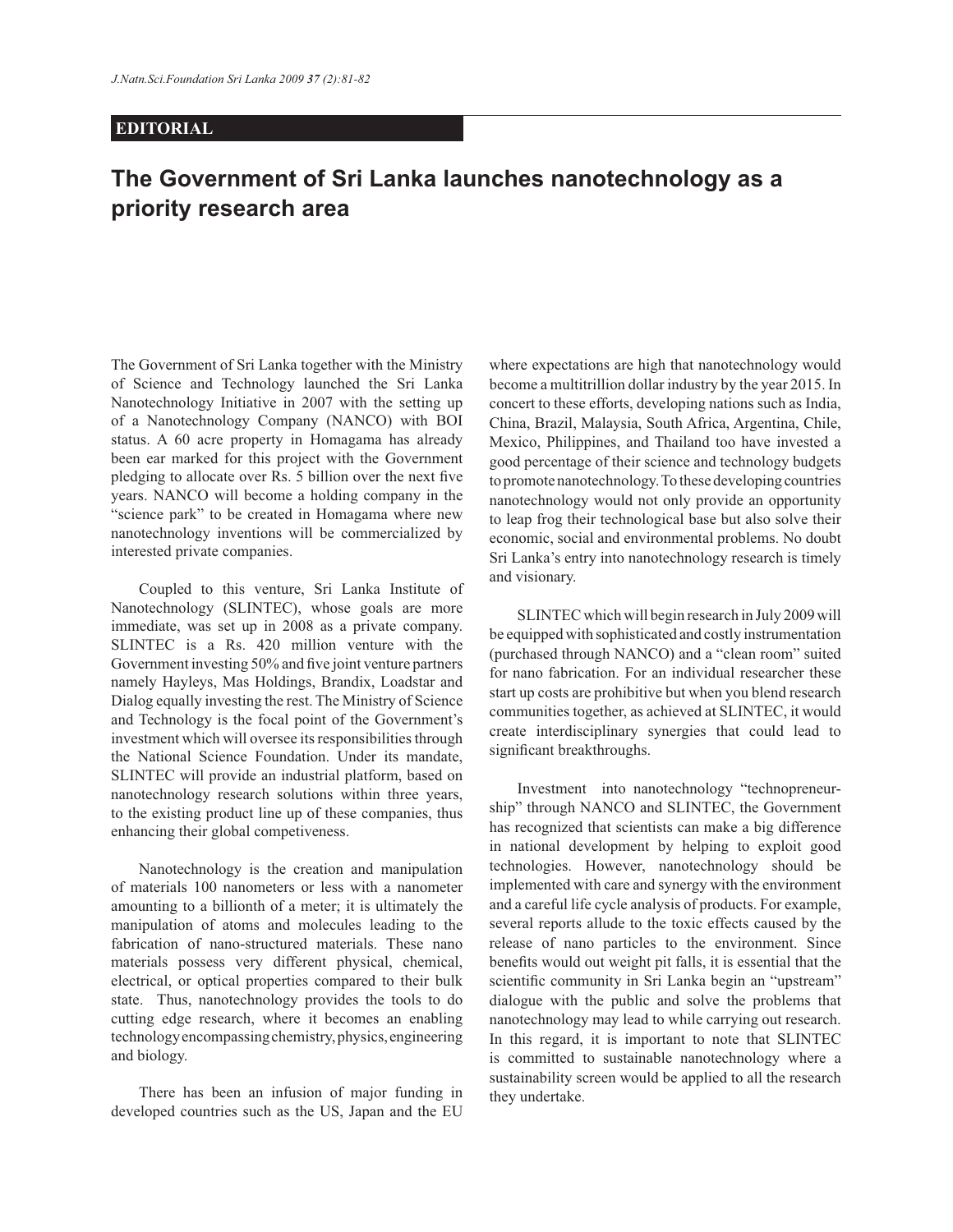## **EDITORIAL**

## **The Government of Sri Lanka launches nanotechnology as a priority research area**

The Government of Sri Lanka together with the Ministry of Science and Technology launched the Sri Lanka Nanotechnology Initiative in 2007 with the setting up of a Nanotechnology Company (NANCO) with BOI status. A 60 acre property in Homagama has already been ear marked for this project with the Government pledging to allocate over Rs. 5 billion over the next five years. NANCO will become a holding company in the "science park" to be created in Homagama where new nanotechnology inventions will be commercialized by interested private companies.

 Coupled to this venture, Sri Lanka Institute of Nanotechnology (SLINTEC), whose goals are more immediate, was set up in 2008 as a private company. SLINTEC is a Rs. 420 million venture with the Government investing 50% and five joint venture partners namely Hayleys, Mas Holdings, Brandix, Loadstar and Dialog equally investing the rest. The Ministry of Science and Technology is the focal point of the Government's investment which will oversee its responsibilities through the National Science Foundation. Under its mandate, SLINTEC will provide an industrial platform, based on nanotechnology research solutions within three years, to the existing product line up of these companies, thus enhancing their global competiveness.

 Nanotechnology is the creation and manipulation of materials 100 nanometers or less with a nanometer amounting to a billionth of a meter; it is ultimately the manipulation of atoms and molecules leading to the fabrication of nano-structured materials. These nano materials possess very different physical, chemical, electrical, or optical properties compared to their bulk state. Thus, nanotechnology provides the tools to do cutting edge research, where it becomes an enabling technology encompassing chemistry, physics, engineering and biology.

 There has been an infusion of major funding in developed countries such as the US, Japan and the EU

where expectations are high that nanotechnology would become a multitrillion dollar industry by the year 2015. In concert to these efforts, developing nations such as India, China, Brazil, Malaysia, South Africa, Argentina, Chile, Mexico, Philippines, and Thailand too have invested a good percentage of their science and technology budgets to promote nanotechnology. To these developing countries nanotechnology would not only provide an opportunity to leap frog their technological base but also solve their economic, social and environmental problems. No doubt Sri Lanka's entry into nanotechnology research is timely and visionary.

 SLINTEC which will begin research in July 2009 will be equipped with sophisticated and costly instrumentation (purchased through NANCO) and a "clean room" suited for nano fabrication. For an individual researcher these start up costs are prohibitive but when you blend research communities together, as achieved at SLINTEC, it would create interdisciplinary synergies that could lead to significant breakthroughs.

 Investment into nanotechnology "technopreneurship" through NANCO and SLINTEC, the Government has recognized that scientists can make a big difference in national development by helping to exploit good technologies. However, nanotechnology should be implemented with care and synergy with the environment and a careful life cycle analysis of products. For example, several reports allude to the toxic effects caused by the release of nano particles to the environment. Since benefits would out weight pit falls, it is essential that the scientific community in Sri Lanka begin an "upstream" dialogue with the public and solve the problems that nanotechnology may lead to while carrying out research. In this regard, it is important to note that SLINTEC is committed to sustainable nanotechnology where a sustainability screen would be applied to all the research they undertake.